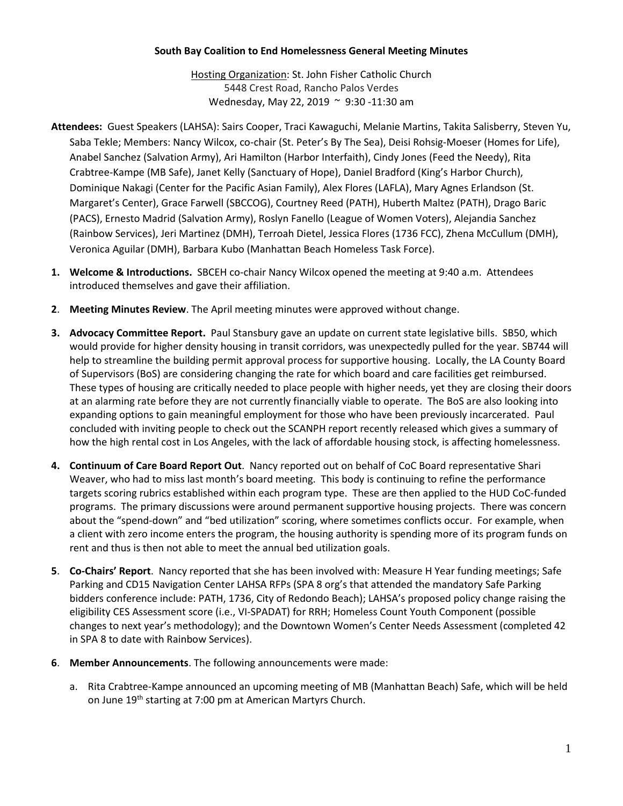## **South Bay Coalition to End Homelessness General Meeting Minutes**

Hosting Organization: St. John Fisher Catholic Church 5448 Crest Road, Rancho Palos Verdes Wednesday, May 22, 2019 ~ 9:30 -11:30 am

- **Attendees:** Guest Speakers (LAHSA): Sairs Cooper, Traci Kawaguchi, Melanie Martins, Takita Salisberry, Steven Yu, Saba Tekle; Members: Nancy Wilcox, co-chair (St. Peter's By The Sea), Deisi Rohsig-Moeser (Homes for Life), Anabel Sanchez (Salvation Army), Ari Hamilton (Harbor Interfaith), Cindy Jones (Feed the Needy), Rita Crabtree-Kampe (MB Safe), Janet Kelly (Sanctuary of Hope), Daniel Bradford (King's Harbor Church), Dominique Nakagi (Center for the Pacific Asian Family), Alex Flores (LAFLA), Mary Agnes Erlandson (St. Margaret's Center), Grace Farwell (SBCCOG), Courtney Reed (PATH), Huberth Maltez (PATH), Drago Baric (PACS), Ernesto Madrid (Salvation Army), Roslyn Fanello (League of Women Voters), Alejandia Sanchez (Rainbow Services), Jeri Martinez (DMH), Terroah Dietel, Jessica Flores (1736 FCC), Zhena McCullum (DMH), Veronica Aguilar (DMH), Barbara Kubo (Manhattan Beach Homeless Task Force).
- **1. Welcome & Introductions.** SBCEH co-chair Nancy Wilcox opened the meeting at 9:40 a.m. Attendees introduced themselves and gave their affiliation.
- **2**. **Meeting Minutes Review**. The April meeting minutes were approved without change.
- **3. Advocacy Committee Report.** Paul Stansbury gave an update on current state legislative bills. SB50, which would provide for higher density housing in transit corridors, was unexpectedly pulled for the year. SB744 will help to streamline the building permit approval process for supportive housing. Locally, the LA County Board of Supervisors (BoS) are considering changing the rate for which board and care facilities get reimbursed. These types of housing are critically needed to place people with higher needs, yet they are closing their doors at an alarming rate before they are not currently financially viable to operate. The BoS are also looking into expanding options to gain meaningful employment for those who have been previously incarcerated. Paul concluded with inviting people to check out the SCANPH report recently released which gives a summary of how the high rental cost in Los Angeles, with the lack of affordable housing stock, is affecting homelessness.
- **4. Continuum of Care Board Report Out**. Nancy reported out on behalf of CoC Board representative Shari Weaver, who had to miss last month's board meeting. This body is continuing to refine the performance targets scoring rubrics established within each program type. These are then applied to the HUD CoC-funded programs. The primary discussions were around permanent supportive housing projects. There was concern about the "spend-down" and "bed utilization" scoring, where sometimes conflicts occur. For example, when a client with zero income enters the program, the housing authority is spending more of its program funds on rent and thus is then not able to meet the annual bed utilization goals.
- **5**. **Co-Chairs' Report**. Nancy reported that she has been involved with: Measure H Year funding meetings; Safe Parking and CD15 Navigation Center LAHSA RFPs (SPA 8 org's that attended the mandatory Safe Parking bidders conference include: PATH, 1736, City of Redondo Beach); LAHSA's proposed policy change raising the eligibility CES Assessment score (i.e., VI-SPADAT) for RRH; Homeless Count Youth Component (possible changes to next year's methodology); and the Downtown Women's Center Needs Assessment (completed 42 in SPA 8 to date with Rainbow Services).
- **6**. **Member Announcements**. The following announcements were made:
	- a. Rita Crabtree-Kampe announced an upcoming meeting of MB (Manhattan Beach) Safe, which will be held on June 19<sup>th</sup> starting at 7:00 pm at American Martyrs Church.